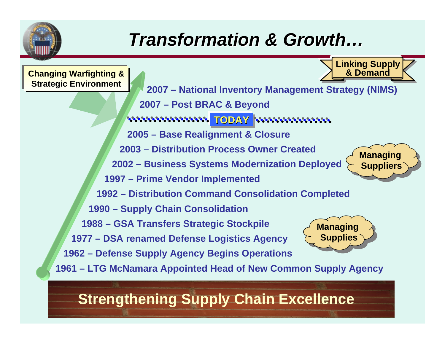

## *Transformation & Growth… Transformation & Growth…*



## **Strengthening Supply Chain Excellence**